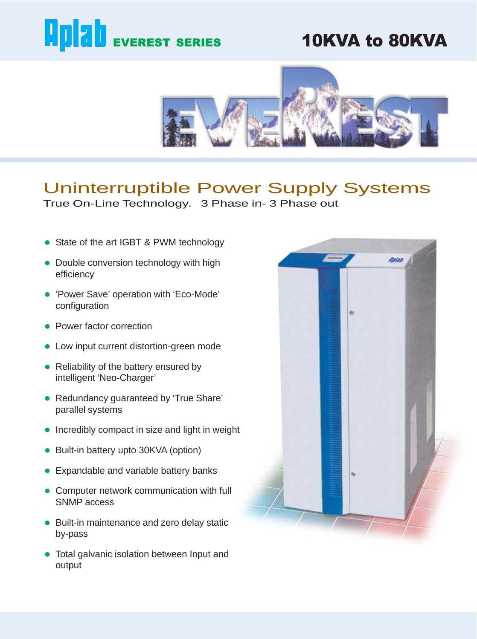# **Aplab** EVEREST SERIES

# 10KVA to 80KVA



# Uninterruptible Power Supply Systems

True On-Line Technology. 3 Phase in- 3 Phase out

- State of the art IGBT & PWM technology
- Double conversion technology with high efficiency
- 'Power Save' operation with 'Eco-Mode' configuration
- Power factor correction
- Low input current distortion-green mode
- Reliability of the battery ensured by intelligent 'Neo-Charger'
- Redundancy guaranteed by 'True Share' parallel systems
- $\bullet$  Incredibly compact in size and light in weight
- Built-in battery upto 30KVA (option)
- **•** Expandable and variable battery banks
- Computer network communication with full SNMP access
- Built-in maintenance and zero delay static by-pass
- Total galvanic isolation between Input and output

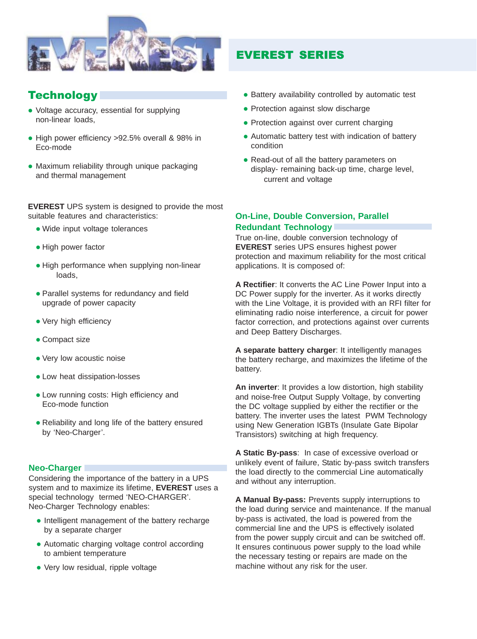

# **Technology**

- Voltage accuracy, essential for supplying non-linear loads,
- High power efficiency >92.5% overall & 98% in Eco-mode
- Maximum reliability through unique packaging and thermal management

**EVEREST** UPS system is designed to provide the most suitable features and characteristics:

- Wide input voltage tolerances
- High power factor
- High performance when supplying non-linear loads,
- Parallel systems for redundancy and field upgrade of power capacity
- Very high efficiency
- Compact size
- Very low acoustic noise
- Low heat dissipation-losses
- Low running costs: High efficiency and Eco-mode function
- Reliability and long life of the battery ensured by 'Neo-Charger'.

#### **Neo-Charger**

Considering the importance of the battery in a UPS system and to maximize its lifetime, **EVEREST** uses a special technology termed 'NEO-CHARGER'. Neo-Charger Technology enables:

- Intelligent management of the battery recharge by a separate charger
- Automatic charging voltage control according to ambient temperature
- Very low residual, ripple voltage

# EVEREST SERIES

- Battery availability controlled by automatic test
- Protection against slow discharge
- Protection against over current charging
- Automatic battery test with indication of battery condition
- Read-out of all the battery parameters on display- remaining back-up time, charge level, current and voltage

#### **On-Line, Double Conversion, Parallel Redundant Technology**

True on-line, double conversion technology of **EVEREST** series UPS ensures highest power protection and maximum reliability for the most critical applications. It is composed of:

**A Rectifier**: It converts the AC Line Power Input into a DC Power supply for the inverter. As it works directly with the Line Voltage, it is provided with an RFI filter for eliminating radio noise interference, a circuit for power factor correction, and protections against over currents and Deep Battery Discharges.

**A separate battery charger**: It intelligently manages the battery recharge, and maximizes the lifetime of the battery.

**An inverter**: It provides a low distortion, high stability and noise-free Output Supply Voltage, by converting the DC voltage supplied by either the rectifier or the battery. The inverter uses the latest PWM Technology using New Generation IGBTs (Insulate Gate Bipolar Transistors) switching at high frequency.

**A Static By-pass**: In case of excessive overload or unlikely event of failure, Static by-pass switch transfers the load directly to the commercial Line automatically and without any interruption.

**A Manual By-pass:** Prevents supply interruptions to the load during service and maintenance. If the manual by-pass is activated, the load is powered from the commercial line and the UPS is effectively isolated from the power supply circuit and can be switched off. It ensures continuous power supply to the load while the necessary testing or repairs are made on the machine without any risk for the user.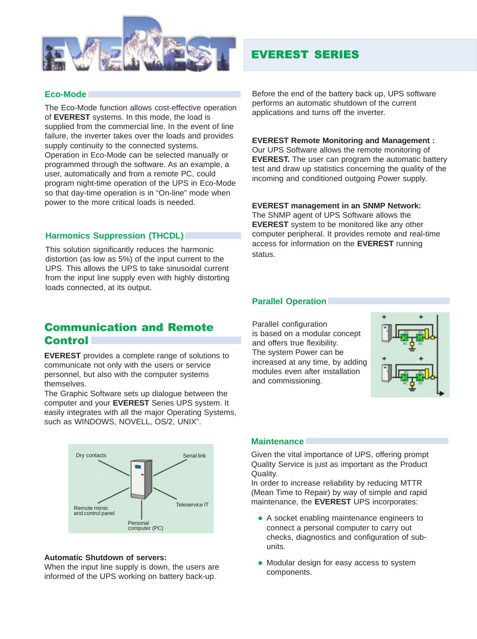

# EVEREST SERIES

#### **Eco-Mode**

The Eco-Mode function allows cost-effective operation of **EVEREST** systems. In this mode, the load is supplied from the commercial line. In the event of line failure, the inverter takes over the loads and provides supply continuity to the connected systems. Operation in Eco-Mode can be selected manually or programmed through the software. As an example, a user, automatically and from a remote PC, could program night-time operation of the UPS in Eco-Mode so that day-time operation is in "On-line" mode when power to the more critical loads is needed.

#### **Harmonics Suppression (THCDL)**

This solution significantly reduces the harmonic distortion (as low as 5%) of the input current to the UPS. This allows the UPS to take sinusoidal current from the input line supply even with highly distorting loads connected, at its output.

Before the end of the battery back up, UPS software performs an automatic shutdown of the current applications and turns off the inverter.

#### **EVEREST Remote Monitoring and Management :**

Our UPS Software allows the remote monitoring of **EVEREST.** The user can program the automatic battery test and draw up statistics concerning the quality of the incoming and conditioned outgoing Power supply.

#### **EVEREST management in an SNMP Network:**

The SNMP agent of UPS Software allows the **EVEREST** system to be monitored like any other computer peripheral. It provides remote and real-time access for information on the **EVEREST** running status.

#### **Parallel Operation**

### Communication and Remote **Control**

**EVEREST** provides a complete range of solutions to communicate not only with the users or service personnel, but also with the computer systems themselves.

The Graphic Software sets up dialogue between the computer and your **EVEREST** Series UPS system. It easily integrates with all the major Operating Systems, such as WINDOWS, NOVELL, OS/2, UNIX".



#### **Automatic Shutdown of servers:**

When the input line supply is down, the users are informed of the UPS working on battery back-up.

Parallel configuration is based on a modular concept and offers true flexibility. The system Power can be increased at any time, by adding modules even after installation and commissioning.



#### **Maintenance**

Given the vital importance of UPS, offering prompt Quality Service is just as important as the Product Quality.

In order to increase reliability by reducing MTTR (Mean Time to Repair) by way of simple and rapid maintenance, the **EVEREST** UPS incorporates:

- A socket enabling maintenance engineers to connect a personal computer to carry out checks, diagnostics and configuration of subunits.
- Modular design for easy access to system components.